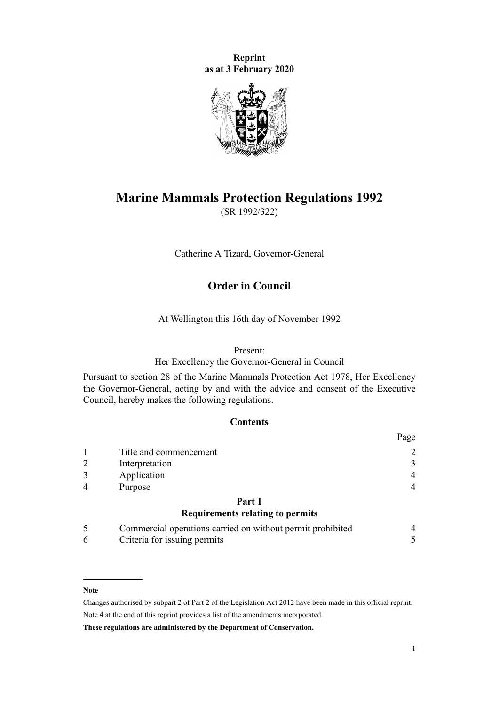**Reprint as at 3 February 2020**



# **Marine Mammals Protection Regulations 1992**

(SR 1992/322)

Catherine A Tizard, Governor-General

## **Order in Council**

At Wellington this 16th day of November 1992

#### Present:

Her Excellency the Governor-General in Council

Pursuant to [section 28](http://legislation.govt.nz/pdflink.aspx?id=DLM25382) of the [Marine Mammals Protection Act 1978,](http://legislation.govt.nz/pdflink.aspx?id=DLM25110) Her Excellency the Governor-General, acting by and with the advice and consent of the Executive Council, hereby makes the following regulations.

### **Contents**

|                |                                                            | Page           |
|----------------|------------------------------------------------------------|----------------|
|                | Title and commencement                                     | $\overline{2}$ |
| $\overline{2}$ | Interpretation                                             | 3              |
| 3              | Application                                                | $\overline{4}$ |
| 4              | Purpose                                                    | $\overline{4}$ |
|                | Part 1                                                     |                |
|                | <b>Requirements relating to permits</b>                    |                |
| 5              | Commercial operations carried on without permit prohibited | 4              |
| 6              | Criteria for issuing permits                               |                |

#### **Note**

Changes authorised by [subpart 2](http://legislation.govt.nz/pdflink.aspx?id=DLM2998524) of Part 2 of the Legislation Act 2012 have been made in this official reprint. Note 4 at the end of this reprint provides a list of the amendments incorporated.

**These regulations are administered by the Department of Conservation.**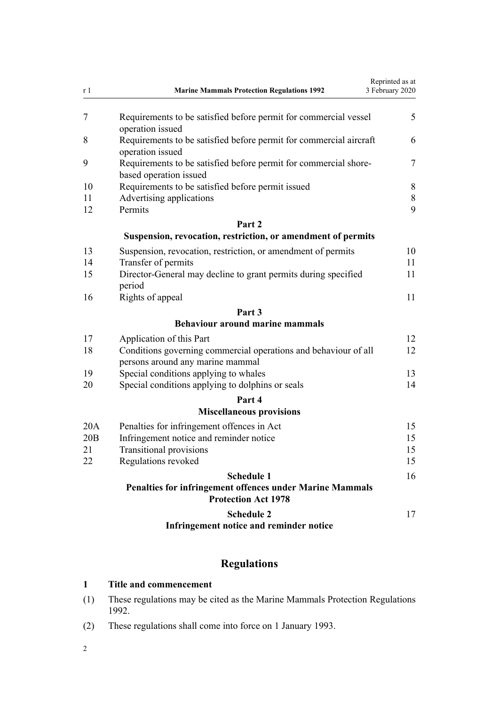<span id="page-1-0"></span>

| r 1 | <b>Marine Mammals Protection Regulations 1992</b>                                                   | Reprinted as at<br>3 February 2020 |
|-----|-----------------------------------------------------------------------------------------------------|------------------------------------|
| 7   | Requirements to be satisfied before permit for commercial vessel<br>operation issued                | 5                                  |
| 8   | Requirements to be satisfied before permit for commercial aircraft<br>operation issued              | 6                                  |
| 9   | Requirements to be satisfied before permit for commercial shore-<br>based operation issued          | 7                                  |
| 10  | Requirements to be satisfied before permit issued                                                   |                                    |
| 11  | Advertising applications                                                                            | 8                                  |
| 12  | Permits                                                                                             | 9                                  |
|     | Part 2                                                                                              |                                    |
|     | Suspension, revocation, restriction, or amendment of permits                                        |                                    |
| 13  | Suspension, revocation, restriction, or amendment of permits                                        | 10                                 |
| 14  | Transfer of permits                                                                                 | 11                                 |
| 15  | Director-General may decline to grant permits during specified<br>period                            | 11                                 |
| 16  | Rights of appeal                                                                                    | 11                                 |
|     | Part <sub>3</sub>                                                                                   |                                    |
|     | <b>Behaviour around marine mammals</b>                                                              |                                    |
| 17  | Application of this Part                                                                            | 12                                 |
| 18  | Conditions governing commercial operations and behaviour of all<br>persons around any marine mammal | 12                                 |
| 19  | Special conditions applying to whales                                                               | 13                                 |
| 20  | Special conditions applying to dolphins or seals                                                    | 14                                 |
|     | Part 4                                                                                              |                                    |
|     | <b>Miscellaneous provisions</b>                                                                     |                                    |
| 20A | Penalties for infringement offences in Act                                                          | 15                                 |
| 20B | Infringement notice and reminder notice                                                             | 15                                 |
| 21  | <b>Transitional provisions</b>                                                                      | 15                                 |
| 22  | Regulations revoked                                                                                 | 15                                 |
|     | <b>Schedule 1</b>                                                                                   | 16                                 |
|     | <b>Penalties for infringement offences under Marine Mammals</b><br><b>Protection Act 1978</b>       |                                    |
|     | <b>Schedule 2</b>                                                                                   | 17                                 |
|     | Infringement notice and reminder notice                                                             |                                    |
|     |                                                                                                     |                                    |

## **Regulations**

## **1 Title and commencement**

- (1) These regulations may be cited as the Marine Mammals Protection Regulations 1992.
- (2) These regulations shall come into force on 1 January 1993.

2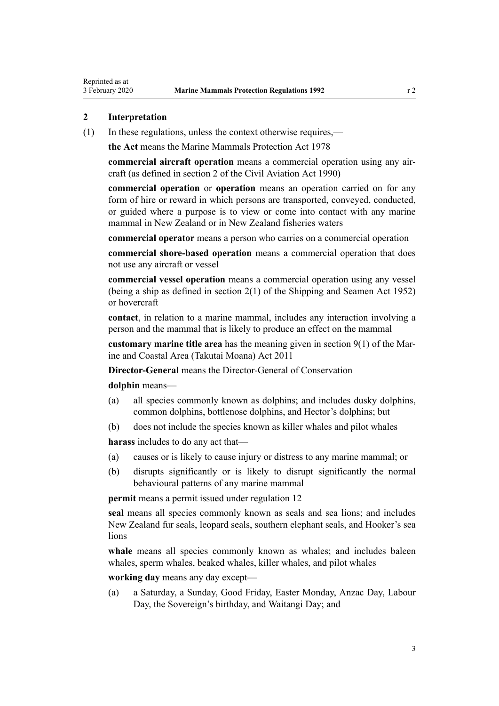#### <span id="page-2-0"></span>**2 Interpretation**

(1) In these regulations, unless the context otherwise requires,—

**the Act** means the [Marine Mammals Protection Act 1978](http://legislation.govt.nz/pdflink.aspx?id=DLM25110)

**commercial aircraft operation** means a commercial operation using any aircraft (as defined in [section 2](http://legislation.govt.nz/pdflink.aspx?id=DLM214692) of the Civil Aviation Act 1990)

**commercial operation** or **operation** means an operation carried on for any form of hire or reward in which persons are transported, conveyed, conducted, or guided where a purpose is to view or come into contact with any marine mammal in New Zealand or in New Zealand fisheries waters

**commercial operator** means a person who carries on a commercial operation

**commercial shore-based operation** means a commercial operation that does not use any aircraft or vessel

**commercial vessel operation** means a commercial operation using any vessel (being a ship as defined in section 2(1) of the Shipping and Seamen Act 1952) or hovercraft

**contact**, in relation to a marine mammal, includes any interaction involving a person and the mammal that is likely to produce an effect on the mammal

**customary marine title area** has the meaning given in [section 9\(1\)](http://legislation.govt.nz/pdflink.aspx?id=DLM3213146) of the Marine and Coastal Area (Takutai Moana) Act 2011

**Director-General** means the Director-General of Conservation

**dolphin** means—

- (a) all species commonly known as dolphins; and includes dusky dolphins, common dolphins, bottlenose dolphins, and Hector's dolphins; but
- (b) does not include the species known as killer whales and pilot whales

**harass** includes to do any act that—

- (a) causes or is likely to cause injury or distress to any marine mammal; or
- (b) disrupts significantly or is likely to disrupt significantly the normal behavioural patterns of any marine mammal

**permit** means a permit issued under [regulation 12](#page-8-0)

**seal** means all species commonly known as seals and sea lions; and includes New Zealand fur seals, leopard seals, southern elephant seals, and Hooker's sea lions

**whale** means all species commonly known as whales; and includes baleen whales, sperm whales, beaked whales, killer whales, and pilot whales

**working day** means any day except—

(a) a Saturday, a Sunday, Good Friday, Easter Monday, Anzac Day, Labour Day, the Sovereign's birthday, and Waitangi Day; and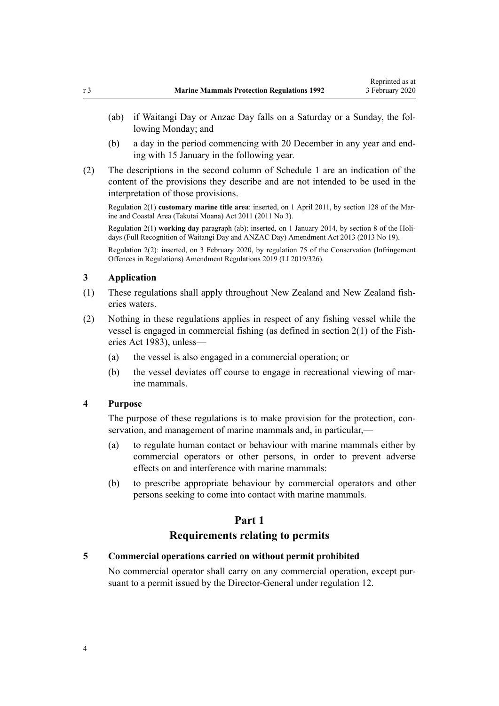- <span id="page-3-0"></span>(ab) if Waitangi Day or Anzac Day falls on a Saturday or a Sunday, the following Monday; and
- (b) a day in the period commencing with 20 December in any year and ending with 15 January in the following year.
- (2) The descriptions in the second column of [Schedule 1](#page-15-0) are an indication of the content of the provisions they describe and are not intended to be used in the interpretation of those provisions.

Regulation 2(1) **customary marine title area**: inserted, on 1 April 2011, by [section 128](http://legislation.govt.nz/pdflink.aspx?id=DLM3213476) of the Marine and Coastal Area (Takutai Moana) Act 2011 (2011 No 3).

Regulation 2(1) **working day** paragraph (ab): inserted, on 1 January 2014, by [section 8](http://legislation.govt.nz/pdflink.aspx?id=DLM4929207) of the Holidays (Full Recognition of Waitangi Day and ANZAC Day) Amendment Act 2013 (2013 No 19).

Regulation 2(2): inserted, on 3 February 2020, by [regulation 75](http://legislation.govt.nz/pdflink.aspx?id=LMS274524) of the Conservation (Infringement Offences in Regulations) Amendment Regulations 2019 (LI 2019/326).

#### **3 Application**

- (1) These regulations shall apply throughout New Zealand and New Zealand fisheries waters.
- (2) Nothing in these regulations applies in respect of any fishing vessel while the vessel is engaged in commercial fishing (as defined in [section 2\(1\)](http://legislation.govt.nz/pdflink.aspx?id=DLM66587) of the Fisheries Act 1983), unless—
	- (a) the vessel is also engaged in a commercial operation; or
	- (b) the vessel deviates off course to engage in recreational viewing of marine mammals.

#### **4 Purpose**

The purpose of these regulations is to make provision for the protection, conservation, and management of marine mammals and, in particular,—

- (a) to regulate human contact or behaviour with marine mammals either by commercial operators or other persons, in order to prevent adverse effects on and interference with marine mammals:
- (b) to prescribe appropriate behaviour by commercial operators and other persons seeking to come into contact with marine mammals.

## **Part 1**

## **Requirements relating to permits**

#### **5 Commercial operations carried on without permit prohibited**

No commercial operator shall carry on any commercial operation, except pursuant to a permit issued by the Director-General under [regulation 12](#page-8-0).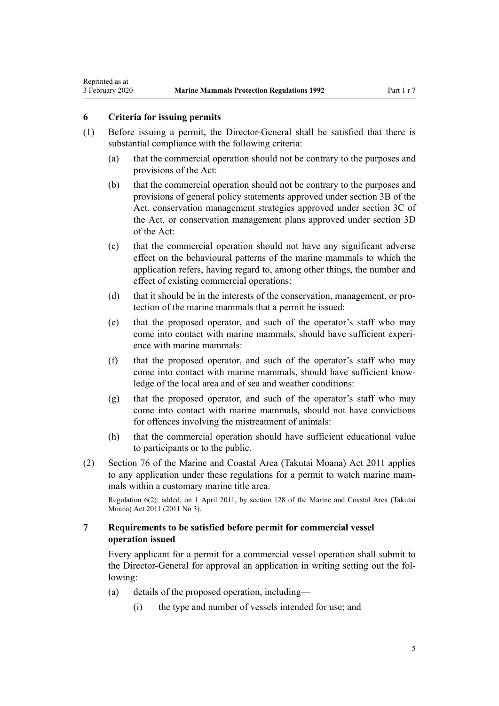#### **6 Criteria for issuing permits**

<span id="page-4-0"></span>Reprinted as at

- (1) Before issuing a permit, the Director-General shall be satisfied that there is substantial compliance with the following criteria:
	- (a) that the commercial operation should not be contrary to the purposes and provisions of the Act:
	- (b) that the commercial operation should not be contrary to the purposes and provisions of general policy statements approved under [section 3B](http://legislation.govt.nz/pdflink.aspx?id=DLM25196) of the Act, conservation management strategies approved under [section 3C](http://legislation.govt.nz/pdflink.aspx?id=DLM25199) of the Act, or conservation management plans approved under [section 3D](http://legislation.govt.nz/pdflink.aspx?id=DLM25304) of the Act:
	- (c) that the commercial operation should not have any significant adverse effect on the behavioural patterns of the marine mammals to which the application refers, having regard to, among other things, the number and effect of existing commercial operations:
	- (d) that it should be in the interests of the conservation, management, or protection of the marine mammals that a permit be issued:
	- (e) that the proposed operator, and such of the operator's staff who may come into contact with marine mammals, should have sufficient experience with marine mammals:
	- (f) that the proposed operator, and such of the operator's staff who may come into contact with marine mammals, should have sufficient knowledge of the local area and of sea and weather conditions:
	- (g) that the proposed operator, and such of the operator's staff who may come into contact with marine mammals, should not have convictions for offences involving the mistreatment of animals:
	- (h) that the commercial operation should have sufficient educational value to participants or to the public.
- (2) [Section 76](http://legislation.govt.nz/pdflink.aspx?id=DLM3213397) of the Marine and Coastal Area (Takutai Moana) Act 2011 applies to any application under these regulations for a permit to watch marine mammals within a customary marine title area.

Regulation 6(2): added, on 1 April 2011, by [section 128](http://legislation.govt.nz/pdflink.aspx?id=DLM3213476) of the Marine and Coastal Area (Takutai Moana) Act 2011 (2011 No 3).

## **7 Requirements to be satisfied before permit for commercial vessel operation issued**

Every applicant for a permit for a commercial vessel operation shall submit to the Director-General for approval an application in writing setting out the following:

- (a) details of the proposed operation, including—
	- (i) the type and number of vessels intended for use; and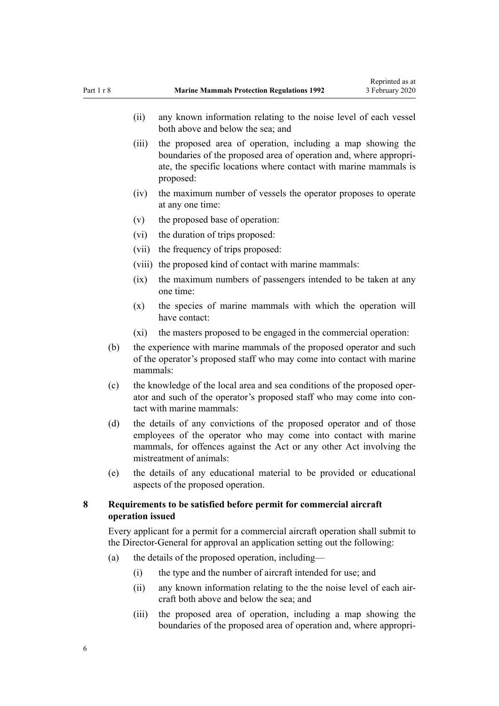- <span id="page-5-0"></span>(ii) any known information relating to the noise level of each vessel both above and below the sea; and
- (iii) the proposed area of operation, including a map showing the boundaries of the proposed area of operation and, where appropriate, the specific locations where contact with marine mammals is proposed:
- (iv) the maximum number of vessels the operator proposes to operate at any one time:
- (v) the proposed base of operation:
- (vi) the duration of trips proposed:
- (vii) the frequency of trips proposed:
- (viii) the proposed kind of contact with marine mammals:
- (ix) the maximum numbers of passengers intended to be taken at any one time:
- (x) the species of marine mammals with which the operation will have contact:
- (xi) the masters proposed to be engaged in the commercial operation:
- (b) the experience with marine mammals of the proposed operator and such of the operator's proposed staff who may come into contact with marine mammals:
- (c) the knowledge of the local area and sea conditions of the proposed operator and such of the operator's proposed staff who may come into contact with marine mammals:
- (d) the details of any convictions of the proposed operator and of those employees of the operator who may come into contact with marine mammals, for offences against the Act or any other Act involving the mistreatment of animals:
- (e) the details of any educational material to be provided or educational aspects of the proposed operation.

## **8 Requirements to be satisfied before permit for commercial aircraft operation issued**

Every applicant for a permit for a commercial aircraft operation shall submit to the Director-General for approval an application setting out the following:

- (a) the details of the proposed operation, including—
	- (i) the type and the number of aircraft intended for use; and
	- (ii) any known information relating to the the noise level of each aircraft both above and below the sea; and
	- (iii) the proposed area of operation, including a map showing the boundaries of the proposed area of operation and, where appropri-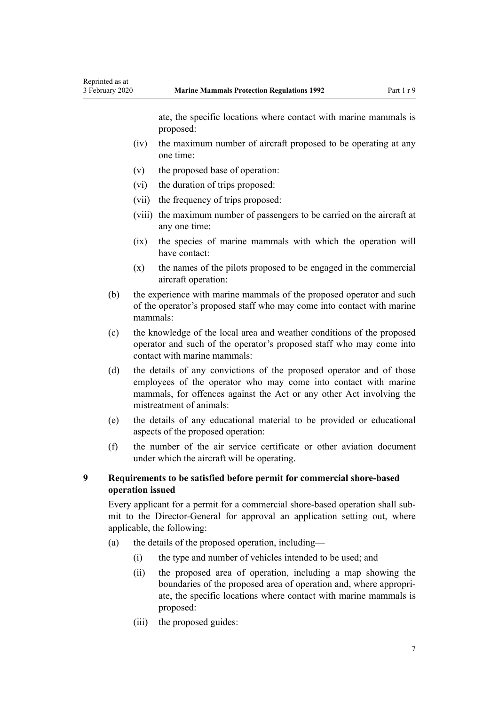ate, the specific locations where contact with marine mammals is proposed:

- <span id="page-6-0"></span>(iv) the maximum number of aircraft proposed to be operating at any one time:
- (v) the proposed base of operation:
- (vi) the duration of trips proposed:
- (vii) the frequency of trips proposed:
- (viii) the maximum number of passengers to be carried on the aircraft at any one time:
- (ix) the species of marine mammals with which the operation will have contact:
- (x) the names of the pilots proposed to be engaged in the commercial aircraft operation:
- (b) the experience with marine mammals of the proposed operator and such of the operator's proposed staff who may come into contact with marine mammals:
- (c) the knowledge of the local area and weather conditions of the proposed operator and such of the operator's proposed staff who may come into contact with marine mammals:
- (d) the details of any convictions of the proposed operator and of those employees of the operator who may come into contact with marine mammals, for offences against the Act or any other Act involving the mistreatment of animals:
- (e) the details of any educational material to be provided or educational aspects of the proposed operation:
- (f) the number of the air service certificate or other aviation document under which the aircraft will be operating.

## **9 Requirements to be satisfied before permit for commercial shore-based operation issued**

Every applicant for a permit for a commercial shore-based operation shall submit to the Director-General for approval an application setting out, where applicable, the following:

- (a) the details of the proposed operation, including—
	- (i) the type and number of vehicles intended to be used; and
	- (ii) the proposed area of operation, including a map showing the boundaries of the proposed area of operation and, where appropriate, the specific locations where contact with marine mammals is proposed:
	- (iii) the proposed guides: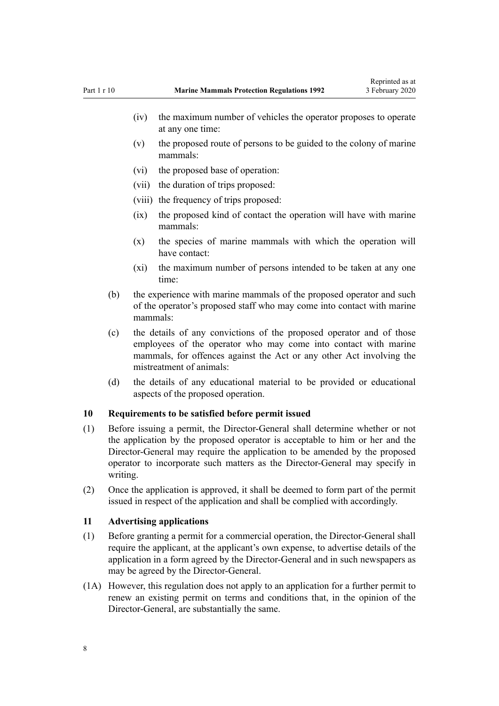- <span id="page-7-0"></span>(iv) the maximum number of vehicles the operator proposes to operate at any one time:
- (v) the proposed route of persons to be guided to the colony of marine mammals:
- (vi) the proposed base of operation:
- (vii) the duration of trips proposed:
- (viii) the frequency of trips proposed:
- (ix) the proposed kind of contact the operation will have with marine mammals:
- (x) the species of marine mammals with which the operation will have contact:
- (xi) the maximum number of persons intended to be taken at any one time:
- (b) the experience with marine mammals of the proposed operator and such of the operator's proposed staff who may come into contact with marine mammals:
- (c) the details of any convictions of the proposed operator and of those employees of the operator who may come into contact with marine mammals, for offences against the Act or any other Act involving the mistreatment of animals:
- (d) the details of any educational material to be provided or educational aspects of the proposed operation.

#### **10 Requirements to be satisfied before permit issued**

- (1) Before issuing a permit, the Director-General shall determine whether or not the application by the proposed operator is acceptable to him or her and the Director-General may require the application to be amended by the proposed operator to incorporate such matters as the Director-General may specify in writing.
- (2) Once the application is approved, it shall be deemed to form part of the permit issued in respect of the application and shall be complied with accordingly.

#### **11 Advertising applications**

- (1) Before granting a permit for a commercial operation, the Director-General shall require the applicant, at the applicant's own expense, to advertise details of the application in a form agreed by the Director-General and in such newspapers as may be agreed by the Director-General.
- (1A) However, this regulation does not apply to an application for a further permit to renew an existing permit on terms and conditions that, in the opinion of the Director-General, are substantially the same.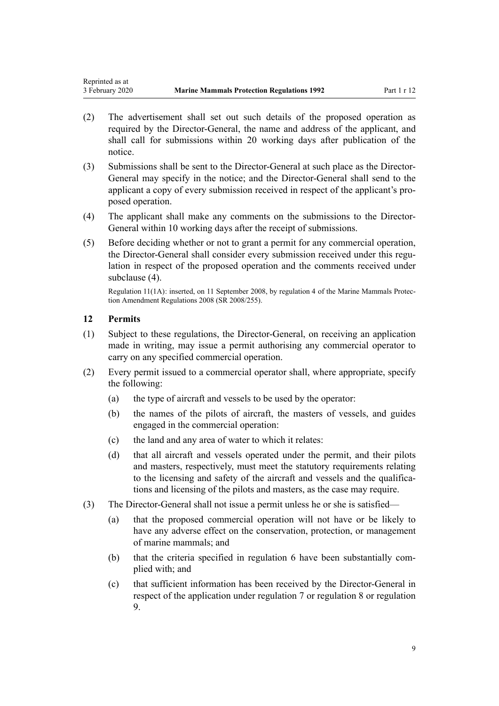- <span id="page-8-0"></span>(2) The advertisement shall set out such details of the proposed operation as required by the Director-General, the name and address of the applicant, and shall call for submissions within 20 working days after publication of the notice.
- (3) Submissions shall be sent to the Director-General at such place as the Director-General may specify in the notice; and the Director-General shall send to the applicant a copy of every submission received in respect of the applicant's proposed operation.
- (4) The applicant shall make any comments on the submissions to the Director-General within 10 working days after the receipt of submissions.
- (5) Before deciding whether or not to grant a permit for any commercial operation, the Director-General shall consider every submission received under this regulation in respect of the proposed operation and the comments received under subclause (4).

Regulation 11(1A): inserted, on 11 September 2008, by [regulation 4](http://legislation.govt.nz/pdflink.aspx?id=DLM1494307) of the Marine Mammals Protection Amendment Regulations 2008 (SR 2008/255).

## **12 Permits**

- (1) Subject to these regulations, the Director-General, on receiving an application made in writing, may issue a permit authorising any commercial operator to carry on any specified commercial operation.
- (2) Every permit issued to a commercial operator shall, where appropriate, specify the following:
	- (a) the type of aircraft and vessels to be used by the operator:
	- (b) the names of the pilots of aircraft, the masters of vessels, and guides engaged in the commercial operation:
	- (c) the land and any area of water to which it relates:
	- (d) that all aircraft and vessels operated under the permit, and their pilots and masters, respectively, must meet the statutory requirements relating to the licensing and safety of the aircraft and vessels and the qualifications and licensing of the pilots and masters, as the case may require.
- (3) The Director-General shall not issue a permit unless he or she is satisfied—
	- (a) that the proposed commercial operation will not have or be likely to have any adverse effect on the conservation, protection, or management of marine mammals; and
	- (b) that the criteria specified in [regulation 6](#page-4-0) have been substantially complied with; and
	- (c) that sufficient information has been received by the Director-General in respect of the application under [regulation 7](#page-4-0) or [regulation 8](#page-5-0) or [regulation](#page-6-0) [9.](#page-6-0)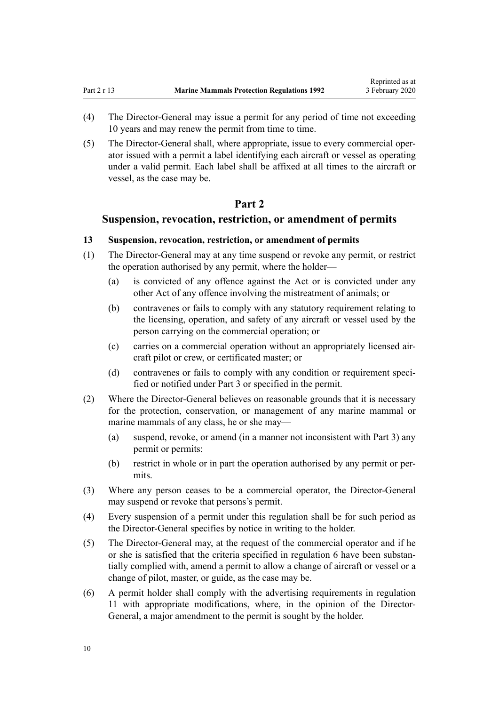- <span id="page-9-0"></span>(4) The Director-General may issue a permit for any period of time not exceeding 10 years and may renew the permit from time to time.
- (5) The Director-General shall, where appropriate, issue to every commercial operator issued with a permit a label identifying each aircraft or vessel as operating under a valid permit. Each label shall be affixed at all times to the aircraft or vessel, as the case may be.

## **Part 2**

## **Suspension, revocation, restriction, or amendment of permits**

#### **13 Suspension, revocation, restriction, or amendment of permits**

- (1) The Director-General may at any time suspend or revoke any permit, or restrict the operation authorised by any permit, where the holder—
	- (a) is convicted of any offence against the Act or is convicted under any other Act of any offence involving the mistreatment of animals; or
	- (b) contravenes or fails to comply with any statutory requirement relating to the licensing, operation, and safety of any aircraft or vessel used by the person carrying on the commercial operation; or
	- (c) carries on a commercial operation without an appropriately licensed aircraft pilot or crew, or certificated master; or
	- (d) contravenes or fails to comply with any condition or requirement specified or notified under [Part 3](#page-11-0) or specified in the permit.
- (2) Where the Director-General believes on reasonable grounds that it is necessary for the protection, conservation, or management of any marine mammal or marine mammals of any class, he or she may—
	- (a) suspend, revoke, or amend (in a manner not inconsistent with [Part 3\)](#page-11-0) any permit or permits:
	- (b) restrict in whole or in part the operation authorised by any permit or permits.
- (3) Where any person ceases to be a commercial operator, the Director-General may suspend or revoke that persons's permit.
- (4) Every suspension of a permit under this regulation shall be for such period as the Director-General specifies by notice in writing to the holder.
- (5) The Director-General may, at the request of the commercial operator and if he or she is satisfied that the criteria specified in [regulation 6](#page-4-0) have been substantially complied with, amend a permit to allow a change of aircraft or vessel or a change of pilot, master, or guide, as the case may be.
- (6) A permit holder shall comply with the advertising requirements in [regulation](#page-7-0) [11](#page-7-0) with appropriate modifications, where, in the opinion of the Director-General, a major amendment to the permit is sought by the holder.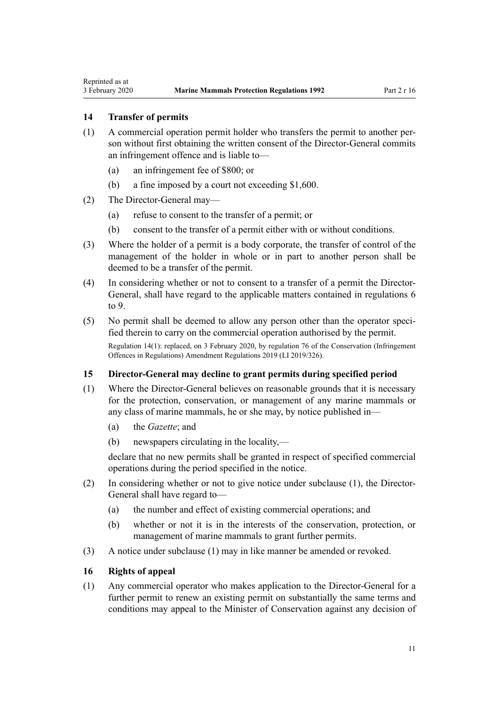#### **14 Transfer of permits**

<span id="page-10-0"></span>Reprinted as at

- (1) A commercial operation permit holder who transfers the permit to another person without first obtaining the written consent of the Director-General commits an infringement offence and is liable to—
	- (a) an infringement fee of \$800; or
	- (b) a fine imposed by a court not exceeding \$1,600.
- (2) The Director-General may—
	- (a) refuse to consent to the transfer of a permit; or
	- (b) consent to the transfer of a permit either with or without conditions.
- (3) Where the holder of a permit is a body corporate, the transfer of control of the management of the holder in whole or in part to another person shall be deemed to be a transfer of the permit.
- (4) In considering whether or not to consent to a transfer of a permit the Director-General, shall have regard to the applicable matters contained in [regulations 6](#page-4-0) [to 9.](#page-4-0)
- (5) No permit shall be deemed to allow any person other than the operator specified therein to carry on the commercial operation authorised by the permit.

Regulation 14(1): replaced, on 3 February 2020, by [regulation 76](http://legislation.govt.nz/pdflink.aspx?id=LMS190041) of the Conservation (Infringement Offences in Regulations) Amendment Regulations 2019 (LI 2019/326).

## **15 Director-General may decline to grant permits during specified period**

- (1) Where the Director-General believes on reasonable grounds that it is necessary for the protection, conservation, or management of any marine mammals or any class of marine mammals, he or she may, by notice published in—
	- (a) the *Gazette*; and
	- (b) newspapers circulating in the locality,—

declare that no new permits shall be granted in respect of specified commercial operations during the period specified in the notice.

- (2) In considering whether or not to give notice under subclause (1), the Director-General shall have regard to—
	- (a) the number and effect of existing commercial operations; and
	- (b) whether or not it is in the interests of the conservation, protection, or management of marine mammals to grant further permits.
- (3) A notice under subclause (1) may in like manner be amended or revoked.

#### **16 Rights of appeal**

(1) Any commercial operator who makes application to the Director-General for a further permit to renew an existing permit on substantially the same terms and conditions may appeal to the Minister of Conservation against any decision of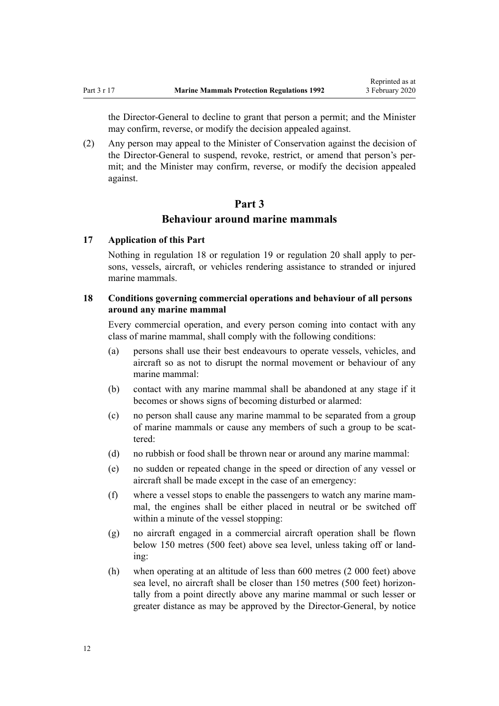<span id="page-11-0"></span>the Director-General to decline to grant that person a permit; and the Minister may confirm, reverse, or modify the decision appealed against.

(2) Any person may appeal to the Minister of Conservation against the decision of the Director-General to suspend, revoke, restrict, or amend that person's permit; and the Minister may confirm, reverse, or modify the decision appealed against.

## **Part 3 Behaviour around marine mammals**

#### **17 Application of this Part**

Nothing in regulation 18 or [regulation 19](#page-12-0) or [regulation 20](#page-13-0) shall apply to persons, vessels, aircraft, or vehicles rendering assistance to stranded or injured marine mammals.

## **18 Conditions governing commercial operations and behaviour of all persons around any marine mammal**

Every commercial operation, and every person coming into contact with any class of marine mammal, shall comply with the following conditions:

- (a) persons shall use their best endeavours to operate vessels, vehicles, and aircraft so as not to disrupt the normal movement or behaviour of any marine mammal:
- (b) contact with any marine mammal shall be abandoned at any stage if it becomes or shows signs of becoming disturbed or alarmed:
- (c) no person shall cause any marine mammal to be separated from a group of marine mammals or cause any members of such a group to be scattered:
- (d) no rubbish or food shall be thrown near or around any marine mammal:
- (e) no sudden or repeated change in the speed or direction of any vessel or aircraft shall be made except in the case of an emergency:
- (f) where a vessel stops to enable the passengers to watch any marine mammal, the engines shall be either placed in neutral or be switched off within a minute of the vessel stopping:
- (g) no aircraft engaged in a commercial aircraft operation shall be flown below 150 metres (500 feet) above sea level, unless taking off or landing:
- (h) when operating at an altitude of less than 600 metres (2 000 feet) above sea level, no aircraft shall be closer than 150 metres (500 feet) horizontally from a point directly above any marine mammal or such lesser or greater distance as may be approved by the Director-General, by notice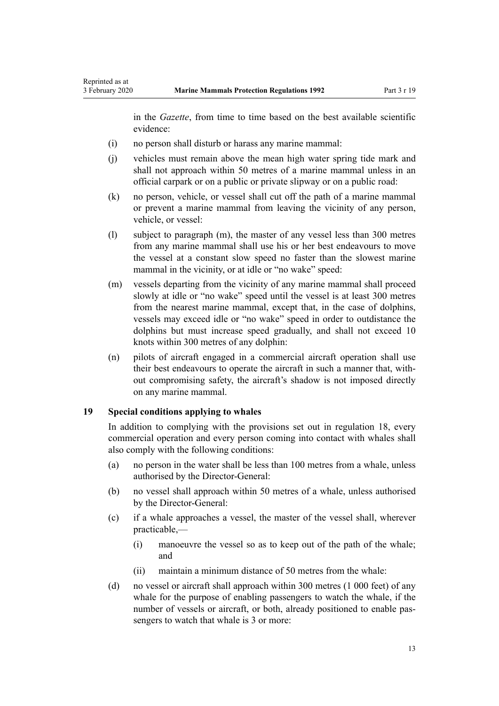<span id="page-12-0"></span>in the *Gazette*, from time to time based on the best available scientific evidence:

- (i) no person shall disturb or harass any marine mammal:
- (j) vehicles must remain above the mean high water spring tide mark and shall not approach within 50 metres of a marine mammal unless in an official carpark or on a public or private slipway or on a public road:
- (k) no person, vehicle, or vessel shall cut off the path of a marine mammal or prevent a marine mammal from leaving the vicinity of any person, vehicle, or vessel:
- (l) subject to paragraph (m), the master of any vessel less than 300 metres from any marine mammal shall use his or her best endeavours to move the vessel at a constant slow speed no faster than the slowest marine mammal in the vicinity, or at idle or "no wake" speed:
- (m) vessels departing from the vicinity of any marine mammal shall proceed slowly at idle or "no wake" speed until the vessel is at least 300 metres from the nearest marine mammal, except that, in the case of dolphins, vessels may exceed idle or "no wake" speed in order to outdistance the dolphins but must increase speed gradually, and shall not exceed 10 knots within 300 metres of any dolphin:
- (n) pilots of aircraft engaged in a commercial aircraft operation shall use their best endeavours to operate the aircraft in such a manner that, without compromising safety, the aircraft's shadow is not imposed directly on any marine mammal.

#### **19 Special conditions applying to whales**

In addition to complying with the provisions set out in [regulation 18,](#page-11-0) every commercial operation and every person coming into contact with whales shall also comply with the following conditions:

- (a) no person in the water shall be less than 100 metres from a whale, unless authorised by the Director-General:
- (b) no vessel shall approach within 50 metres of a whale, unless authorised by the Director-General:
- (c) if a whale approaches a vessel, the master of the vessel shall, wherever practicable,—
	- (i) manoeuvre the vessel so as to keep out of the path of the whale; and
	- (ii) maintain a minimum distance of 50 metres from the whale:
- (d) no vessel or aircraft shall approach within 300 metres (1 000 feet) of any whale for the purpose of enabling passengers to watch the whale, if the number of vessels or aircraft, or both, already positioned to enable passengers to watch that whale is 3 or more: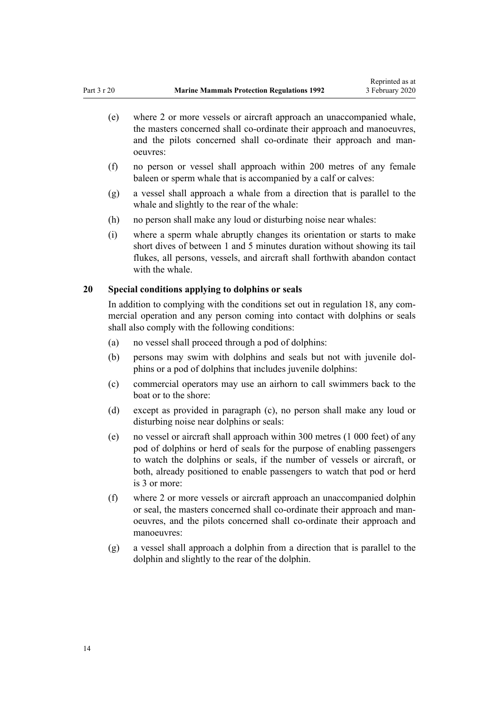- <span id="page-13-0"></span>(e) where 2 or more vessels or aircraft approach an unaccompanied whale, the masters concerned shall co-ordinate their approach and manoeuvres, and the pilots concerned shall co-ordinate their approach and manoeuvres:
- (f) no person or vessel shall approach within 200 metres of any female baleen or sperm whale that is accompanied by a calf or calves:
- (g) a vessel shall approach a whale from a direction that is parallel to the whale and slightly to the rear of the whale:
- (h) no person shall make any loud or disturbing noise near whales:
- (i) where a sperm whale abruptly changes its orientation or starts to make short dives of between 1 and 5 minutes duration without showing its tail flukes, all persons, vessels, and aircraft shall forthwith abandon contact with the whale.

#### **20 Special conditions applying to dolphins or seals**

In addition to complying with the conditions set out in [regulation 18,](#page-11-0) any commercial operation and any person coming into contact with dolphins or seals shall also comply with the following conditions:

- (a) no vessel shall proceed through a pod of dolphins:
- (b) persons may swim with dolphins and seals but not with juvenile dolphins or a pod of dolphins that includes juvenile dolphins:
- (c) commercial operators may use an airhorn to call swimmers back to the boat or to the shore:
- (d) except as provided in paragraph (c), no person shall make any loud or disturbing noise near dolphins or seals:
- (e) no vessel or aircraft shall approach within 300 metres (1 000 feet) of any pod of dolphins or herd of seals for the purpose of enabling passengers to watch the dolphins or seals, if the number of vessels or aircraft, or both, already positioned to enable passengers to watch that pod or herd is 3 or more:
- (f) where 2 or more vessels or aircraft approach an unaccompanied dolphin or seal, the masters concerned shall co-ordinate their approach and manoeuvres, and the pilots concerned shall co-ordinate their approach and manoeuvres:
- (g) a vessel shall approach a dolphin from a direction that is parallel to the dolphin and slightly to the rear of the dolphin.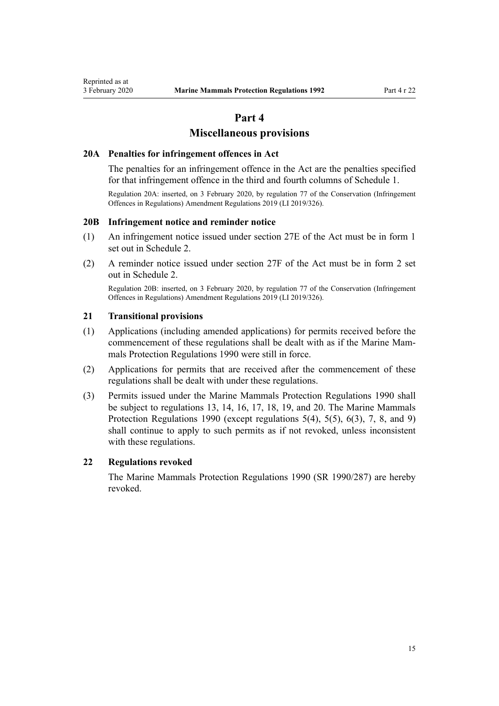## **Part 4**

### **Miscellaneous provisions**

#### <span id="page-14-0"></span>**20A Penalties for infringement offences in Act**

The penalties for an infringement offence in the Act are the penalties specified for that infringement offence in the third and fourth columns of [Schedule 1.](#page-15-0)

Regulation 20A: inserted, on 3 February 2020, by [regulation 77](http://legislation.govt.nz/pdflink.aspx?id=LMS190045) of the Conservation (Infringement Offences in Regulations) Amendment Regulations 2019 (LI 2019/326).

#### **20B Infringement notice and reminder notice**

- (1) An infringement notice issued under [section 27E](http://legislation.govt.nz/pdflink.aspx?id=LMS149134) of the Act must be in [form 1](#page-16-0) set out in Schedule 2.
- (2) A reminder notice issued under [section 27F](http://legislation.govt.nz/pdflink.aspx?id=LMS149144) of the Act must be in [form 2](#page-20-0) set out in Schedule 2.

Regulation 20B: inserted, on 3 February 2020, by [regulation 77](http://legislation.govt.nz/pdflink.aspx?id=LMS190045) of the Conservation (Infringement Offences in Regulations) Amendment Regulations 2019 (LI 2019/326).

#### **21 Transitional provisions**

- (1) Applications (including amended applications) for permits received before the commencement of these regulations shall be dealt with as if the Marine Mammals Protection Regulations 1990 were still in force.
- (2) Applications for permits that are received after the commencement of these regulations shall be dealt with under these regulations.
- (3) Permits issued under the Marine Mammals Protection Regulations 1990 shall be subject to [regulations 13](#page-9-0), [14](#page-10-0), [16,](#page-10-0) [17,](#page-11-0) [18,](#page-11-0) [19,](#page-12-0) and [20.](#page-13-0) The Marine Mammals Protection Regulations 1990 (except regulations 5(4), 5(5), 6(3), 7, 8, and 9) shall continue to apply to such permits as if not revoked, unless inconsistent with these regulations.

#### **22 Regulations revoked**

The Marine Mammals Protection Regulations 1990 (SR 1990/287) are hereby revoked.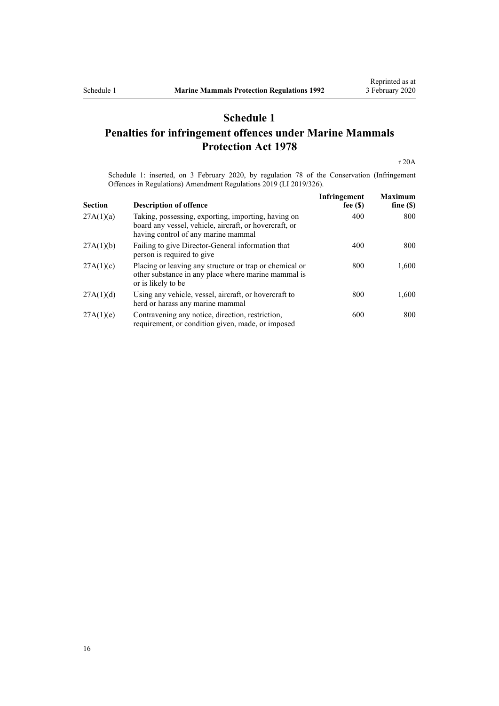## **Schedule 1**

## <span id="page-15-0"></span>**Penalties for infringement offences under Marine Mammals Protection Act 1978**

[r 20A](#page-14-0)

Schedule 1: inserted, on 3 February 2020, by [regulation 78](http://legislation.govt.nz/pdflink.aspx?id=LMS190405) of the Conservation (Infringement Offences in Regulations) Amendment Regulations 2019 (LI 2019/326).

| <b>Section</b> | <b>Description of offence</b>                                                                                                                        | Infringement<br>fee $(S)$ | <b>Maximum</b><br>fine $(S)$ |
|----------------|------------------------------------------------------------------------------------------------------------------------------------------------------|---------------------------|------------------------------|
| 27A(1)(a)      | Taking, possessing, exporting, importing, having on<br>board any vessel, vehicle, aircraft, or hovercraft, or<br>having control of any marine mammal | 400                       | 800                          |
| 27A(1)(b)      | Failing to give Director-General information that<br>person is required to give                                                                      | 400                       | 800                          |
| 27A(1)(c)      | Placing or leaving any structure or trap or chemical or<br>other substance in any place where marine mammal is<br>or is likely to be                 | 800                       | 1,600                        |
| 27A(1)(d)      | Using any vehicle, vessel, aircraft, or hovercraft to<br>herd or harass any marine mammal                                                            | 800                       | 1,600                        |
| 27A(1)(e)      | Contravening any notice, direction, restriction,<br>requirement, or condition given, made, or imposed                                                | 600                       | 800                          |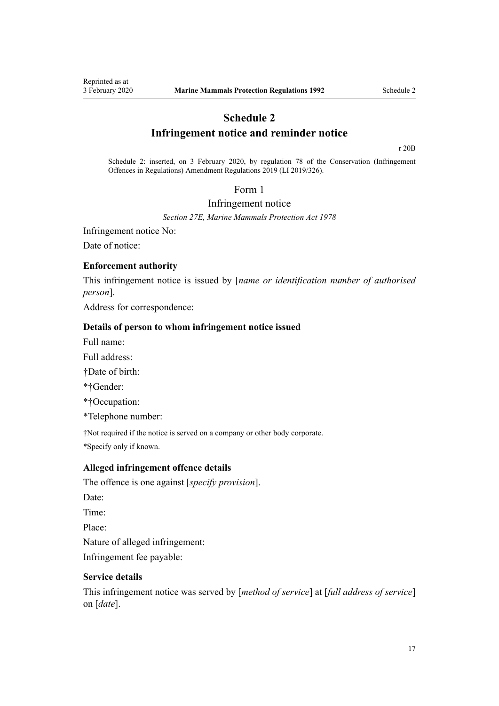## **Schedule 2**

## **Infringement notice and reminder notice**

[r 20B](#page-14-0)

<span id="page-16-0"></span>Schedule 2: inserted, on 3 February 2020, by [regulation 78](http://legislation.govt.nz/pdflink.aspx?id=LMS190405) of the Conservation (Infringement Offences in Regulations) Amendment Regulations 2019 (LI 2019/326).

### Form 1

#### Infringement notice

*[Section 27E](http://legislation.govt.nz/pdflink.aspx?id=LMS149134), Marine Mammals Protection Act 1978*

Infringement notice No:

Date of notice:

#### **Enforcement authority**

This infringement notice is issued by [*name or identification number of authorised person*].

Address for correspondence:

#### **Details of person to whom infringement notice issued**

Full name:

Full address:

†Date of birth:

\*†Gender:

\*†Occupation:

\*Telephone number:

†Not required if the notice is served on a company or other body corporate. \*Specify only if known.

#### **Alleged infringement offence details**

The offence is one against [*specify provision*]. Date: Time: Place: Nature of alleged infringement: Infringement fee payable:

## **Service details**

This infringement notice was served by [*method of service*] at [*full address of service*] on [*date*].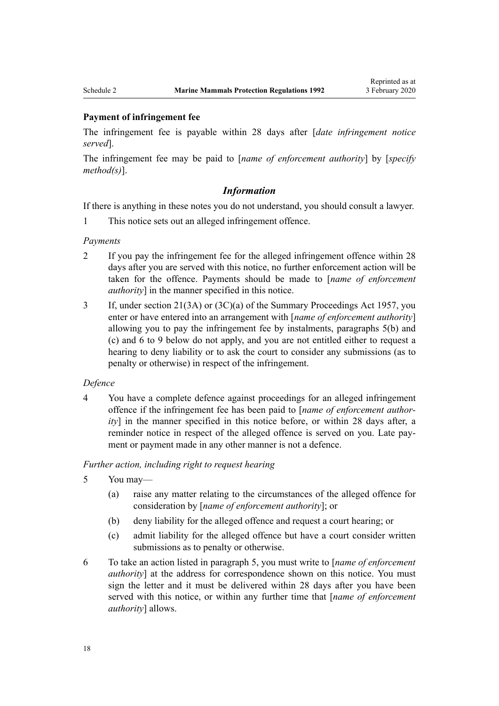#### **Payment of infringement fee**

The infringement fee is payable within 28 days after [*date infringement notice served*].

The infringement fee may be paid to [*name of enforcement authority*] by [*specify method(s)*].

#### *Information*

If there is anything in these notes you do not understand, you should consult a lawyer.

1 This notice sets out an alleged infringement offence.

#### *Payments*

- 2 If you pay the infringement fee for the alleged infringement offence within 28 days after you are served with this notice, no further enforcement action will be taken for the offence. Payments should be made to [*name of enforcement authority*] in the manner specified in this notice.
- 3 If, under [section 21\(3A\) or \(3C\)\(a\)](http://legislation.govt.nz/pdflink.aspx?id=DLM311346) of the Summary Proceedings Act 1957, you enter or have entered into an arrangement with [*name of enforcement authority*] allowing you to pay the infringement fee by instalments, paragraphs 5(b) and (c) and 6 to 9 below do not apply, and you are not entitled either to request a hearing to deny liability or to ask the court to consider any submissions (as to penalty or otherwise) in respect of the infringement.

#### *Defence*

4 You have a complete defence against proceedings for an alleged infringement offence if the infringement fee has been paid to [*name of enforcement authority*] in the manner specified in this notice before, or within 28 days after, a reminder notice in respect of the alleged offence is served on you. Late payment or payment made in any other manner is not a defence.

#### *Further action, including right to request hearing*

- 5 You may—
	- (a) raise any matter relating to the circumstances of the alleged offence for consideration by [*name of enforcement authority*]; or
	- (b) deny liability for the alleged offence and request a court hearing; or
	- (c) admit liability for the alleged offence but have a court consider written submissions as to penalty or otherwise.
- 6 To take an action listed in paragraph 5, you must write to [*name of enforcement authority*] at the address for correspondence shown on this notice. You must sign the letter and it must be delivered within 28 days after you have been served with this notice, or within any further time that [*name of enforcement authority*] allows.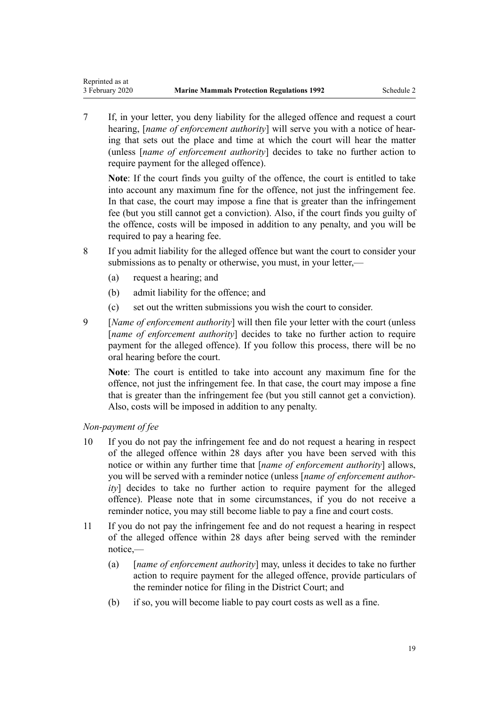7 If, in your letter, you deny liability for the alleged offence and request a court hearing, [*name of enforcement authority*] will serve you with a notice of hearing that sets out the place and time at which the court will hear the matter (unless [*name of enforcement authority*] decides to take no further action to require payment for the alleged offence).

**Note**: If the court finds you guilty of the offence, the court is entitled to take into account any maximum fine for the offence, not just the infringement fee. In that case, the court may impose a fine that is greater than the infringement fee (but you still cannot get a conviction). Also, if the court finds you guilty of the offence, costs will be imposed in addition to any penalty, and you will be required to pay a hearing fee.

- 8 If you admit liability for the alleged offence but want the court to consider your submissions as to penalty or otherwise, you must, in your letter,—
	- (a) request a hearing; and
	- (b) admit liability for the offence; and
	- (c) set out the written submissions you wish the court to consider.
- 9 [*Name of enforcement authority*] will then file your letter with the court (unless [*name of enforcement authority*] decides to take no further action to require payment for the alleged offence). If you follow this process, there will be no oral hearing before the court.

**Note**: The court is entitled to take into account any maximum fine for the offence, not just the infringement fee. In that case, the court may impose a fine that is greater than the infringement fee (but you still cannot get a conviction). Also, costs will be imposed in addition to any penalty.

## *Non-payment of fee*

- 10 If you do not pay the infringement fee and do not request a hearing in respect of the alleged offence within 28 days after you have been served with this notice or within any further time that [*name of enforcement authority*] allows, you will be served with a reminder notice (unless [*name of enforcement authority*] decides to take no further action to require payment for the alleged offence). Please note that in some circumstances, if you do not receive a reminder notice, you may still become liable to pay a fine and court costs.
- 11 If you do not pay the infringement fee and do not request a hearing in respect of the alleged offence within 28 days after being served with the reminder notice,—
	- (a) [*name of enforcement authority*] may, unless it decides to take no further action to require payment for the alleged offence, provide particulars of the reminder notice for filing in the District Court; and
	- (b) if so, you will become liable to pay court costs as well as a fine.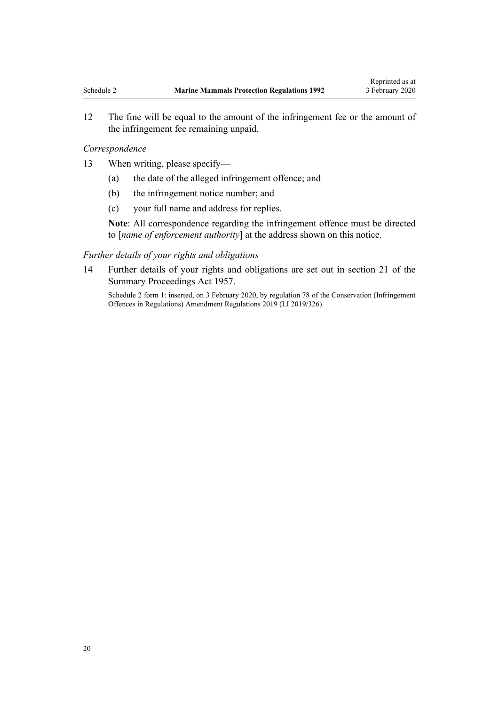12 The fine will be equal to the amount of the infringement fee or the amount of the infringement fee remaining unpaid.

#### *Correspondence*

- 13 When writing, please specify—
	- (a) the date of the alleged infringement offence; and
	- (b) the infringement notice number; and
	- (c) your full name and address for replies.

**Note**: All correspondence regarding the infringement offence must be directed to [*name of enforcement authority*] at the address shown on this notice.

#### *Further details of your rights and obligations*

14 Further details of your rights and obligations are set out in [section 21](http://legislation.govt.nz/pdflink.aspx?id=DLM311346) of the Summary Proceedings Act 1957.

Schedule 2 form 1: inserted, on 3 February 2020, by [regulation 78](http://legislation.govt.nz/pdflink.aspx?id=LMS190405) of the Conservation (Infringement Offences in Regulations) Amendment Regulations 2019 (LI 2019/326).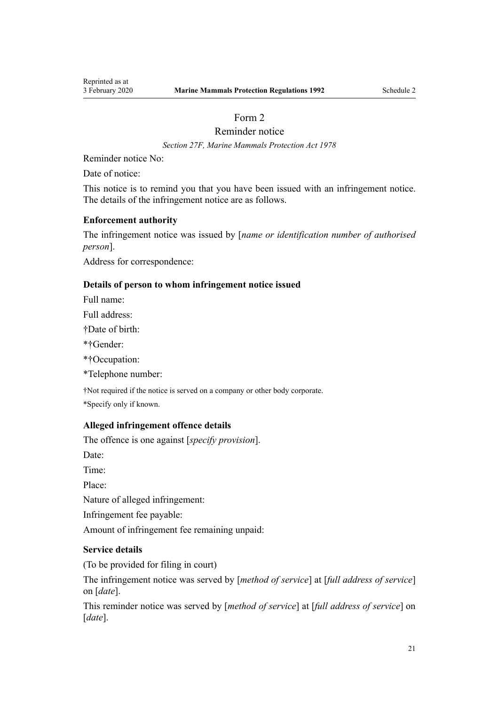## Form 2

Reminder notice

*[Section 27F](http://legislation.govt.nz/pdflink.aspx?id=LMS149144), Marine Mammals Protection Act 1978*

<span id="page-20-0"></span>Reminder notice No:

Date of notice:

This notice is to remind you that you have been issued with an infringement notice. The details of the infringement notice are as follows.

## **Enforcement authority**

The infringement notice was issued by [*name or identification number of authorised person*].

Address for correspondence:

## **Details of person to whom infringement notice issued**

Full name:

Full address:

†Date of birth:

\*†Gender:

\*†Occupation:

\*Telephone number:

†Not required if the notice is served on a company or other body corporate.

\*Specify only if known.

## **Alleged infringement offence details**

The offence is one against [*specify provision*].

Date:

Time:

Place:

Nature of alleged infringement:

Infringement fee payable:

Amount of infringement fee remaining unpaid:

## **Service details**

(To be provided for filing in court)

The infringement notice was served by [*method of service*] at [*full address of service*] on [*date*].

This reminder notice was served by [*method of service*] at [*full address of service*] on [*date*].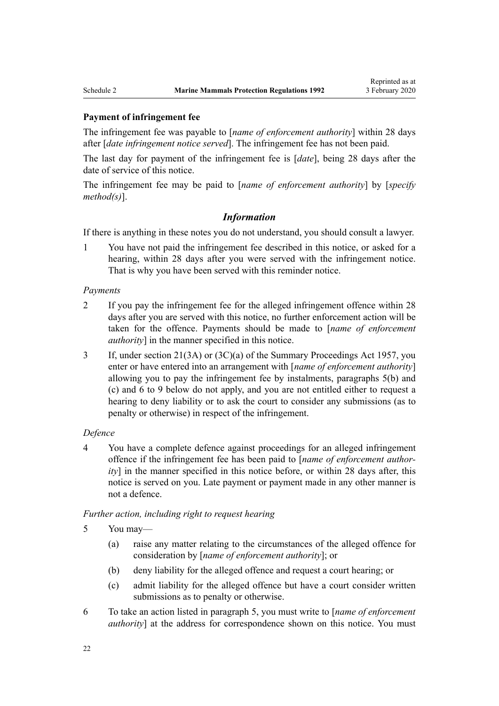#### **Payment of infringement fee**

The infringement fee was payable to [*name of enforcement authority*] within 28 days after [*date infringement notice served*]. The infringement fee has not been paid.

The last day for payment of the infringement fee is [*date*], being 28 days after the date of service of this notice.

The infringement fee may be paid to [*name of enforcement authority*] by [*specify method(s)*].

## *Information*

If there is anything in these notes you do not understand, you should consult a lawyer.

1 You have not paid the infringement fee described in this notice, or asked for a hearing, within 28 days after you were served with the infringement notice. That is why you have been served with this reminder notice.

#### *Payments*

- 2 If you pay the infringement fee for the alleged infringement offence within 28 days after you are served with this notice, no further enforcement action will be taken for the offence. Payments should be made to [*name of enforcement authority*] in the manner specified in this notice.
- 3 If, under [section 21\(3A\) or \(3C\)\(a\)](http://legislation.govt.nz/pdflink.aspx?id=DLM311346) of the Summary Proceedings Act 1957, you enter or have entered into an arrangement with [*name of enforcement authority*] allowing you to pay the infringement fee by instalments, paragraphs 5(b) and (c) and 6 to 9 below do not apply, and you are not entitled either to request a hearing to deny liability or to ask the court to consider any submissions (as to penalty or otherwise) in respect of the infringement.

#### *Defence*

4 You have a complete defence against proceedings for an alleged infringement offence if the infringement fee has been paid to [*name of enforcement authority*] in the manner specified in this notice before, or within 28 days after, this notice is served on you. Late payment or payment made in any other manner is not a defence.

*Further action, including right to request hearing*

5 You may—

- (a) raise any matter relating to the circumstances of the alleged offence for consideration by [*name of enforcement authority*]; or
- (b) deny liability for the alleged offence and request a court hearing; or
- (c) admit liability for the alleged offence but have a court consider written submissions as to penalty or otherwise.
- 6 To take an action listed in paragraph 5, you must write to [*name of enforcement authority*] at the address for correspondence shown on this notice. You must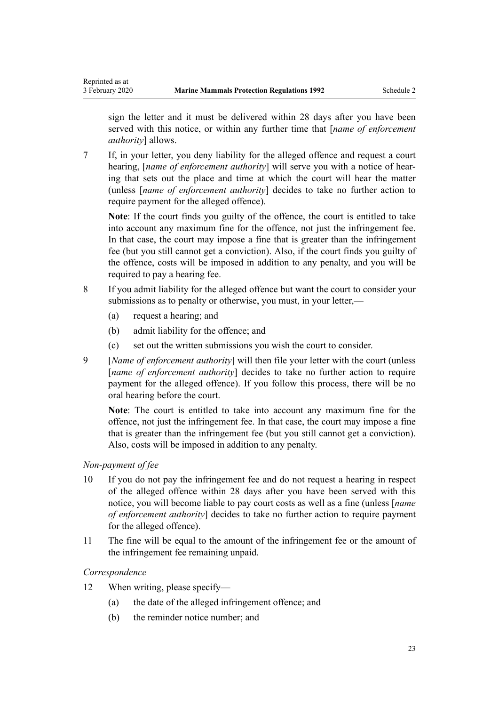sign the letter and it must be delivered within 28 days after you have been served with this notice, or within any further time that [*name of enforcement authority*] allows.

7 If, in your letter, you deny liability for the alleged offence and request a court hearing, [*name of enforcement authority*] will serve you with a notice of hearing that sets out the place and time at which the court will hear the matter (unless [*name of enforcement authority*] decides to take no further action to require payment for the alleged offence).

**Note**: If the court finds you guilty of the offence, the court is entitled to take into account any maximum fine for the offence, not just the infringement fee. In that case, the court may impose a fine that is greater than the infringement fee (but you still cannot get a conviction). Also, if the court finds you guilty of the offence, costs will be imposed in addition to any penalty, and you will be required to pay a hearing fee.

- 8 If you admit liability for the alleged offence but want the court to consider your submissions as to penalty or otherwise, you must, in your letter,—
	- (a) request a hearing; and
	- (b) admit liability for the offence; and
	- (c) set out the written submissions you wish the court to consider.
- 9 [*Name of enforcement authority*] will then file your letter with the court (unless [*name of enforcement authority*] decides to take no further action to require payment for the alleged offence). If you follow this process, there will be no oral hearing before the court.

**Note**: The court is entitled to take into account any maximum fine for the offence, not just the infringement fee. In that case, the court may impose a fine that is greater than the infringement fee (but you still cannot get a conviction). Also, costs will be imposed in addition to any penalty.

## *Non-payment of fee*

- 10 If you do not pay the infringement fee and do not request a hearing in respect of the alleged offence within 28 days after you have been served with this notice, you will become liable to pay court costs as well as a fine (unless [*name of enforcement authority*] decides to take no further action to require payment for the alleged offence).
- 11 The fine will be equal to the amount of the infringement fee or the amount of the infringement fee remaining unpaid.

## *Correspondence*

- 12 When writing, please specify—
	- (a) the date of the alleged infringement offence; and
	- (b) the reminder notice number; and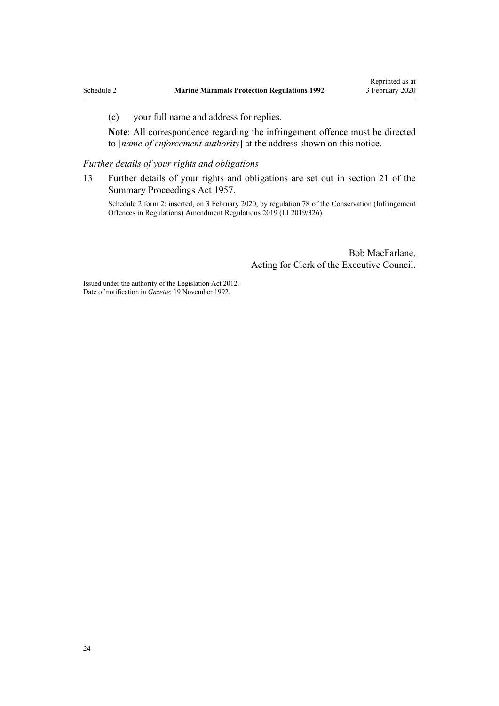(c) your full name and address for replies.

**Note**: All correspondence regarding the infringement offence must be directed to [*name of enforcement authority*] at the address shown on this notice.

*Further details of your rights and obligations*

13 Further details of your rights and obligations are set out in [section 21](http://legislation.govt.nz/pdflink.aspx?id=DLM311346) of the Summary Proceedings Act 1957.

Schedule 2 form 2: inserted, on 3 February 2020, by [regulation 78](http://legislation.govt.nz/pdflink.aspx?id=LMS190405) of the Conservation (Infringement Offences in Regulations) Amendment Regulations 2019 (LI 2019/326).

> Bob MacFarlane, Acting for Clerk of the Executive Council.

Issued under the authority of the [Legislation Act 2012](http://legislation.govt.nz/pdflink.aspx?id=DLM2997643). Date of notification in *Gazette*: 19 November 1992.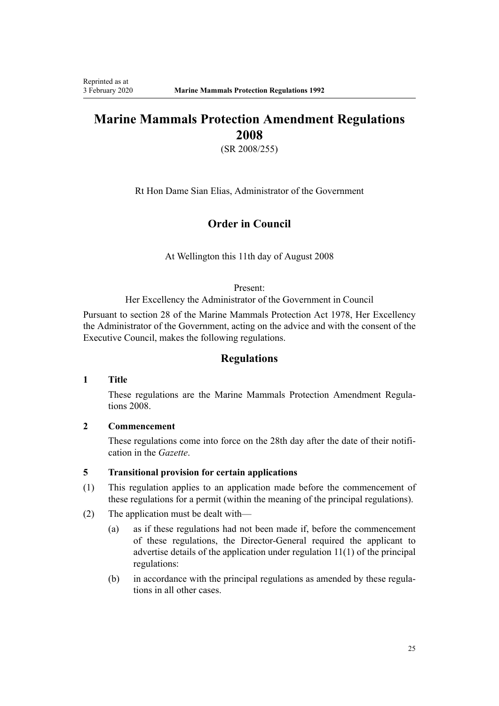## **Marine Mammals Protection Amendment Regulations 2008**

(SR 2008/255)

Rt Hon Dame Sian Elias, Administrator of the Government

## **Order in Council**

At Wellington this 11th day of August 2008

#### Present:

Her Excellency the Administrator of the Government in Council

Pursuant to section 28 of the Marine Mammals Protection Act 1978, Her Excellency the Administrator of the Government, acting on the advice and with the consent of the Executive Council, makes the following regulations.

## **Regulations**

#### **1 Title**

These regulations are the [Marine Mammals Protection Amendment Regula](http://legislation.govt.nz/pdflink.aspx?id=DLM1494300)[tions 2008](http://legislation.govt.nz/pdflink.aspx?id=DLM1494300).

#### **2 Commencement**

These regulations come into force on the 28th day after the date of their notification in the *Gazette*.

#### **5 Transitional provision for certain applications**

- (1) This regulation applies to an application made before the commencement of these regulations for a permit (within the meaning of the principal regulations).
- (2) The application must be dealt with—
	- (a) as if these regulations had not been made if, before the commencement of these regulations, the Director-General required the applicant to advertise details of the application under regulation 11(1) of the principal regulations:
	- (b) in accordance with the principal regulations as amended by these regulations in all other cases.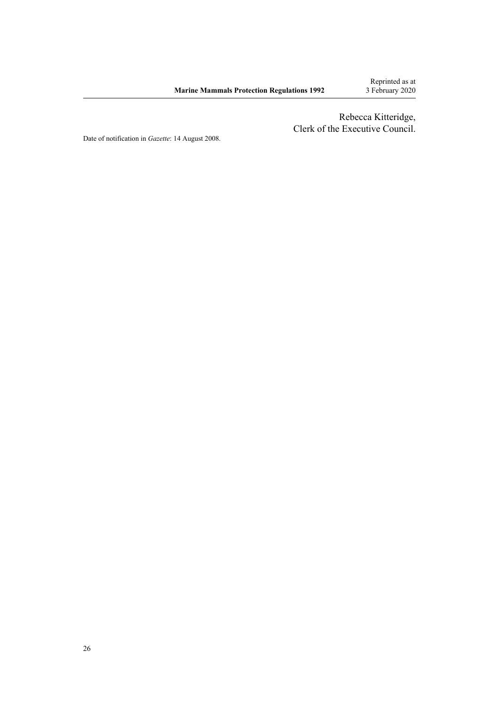Rebecca Kitteridge, Clerk of the Executive Council.

Date of notification in *Gazette*: 14 August 2008.